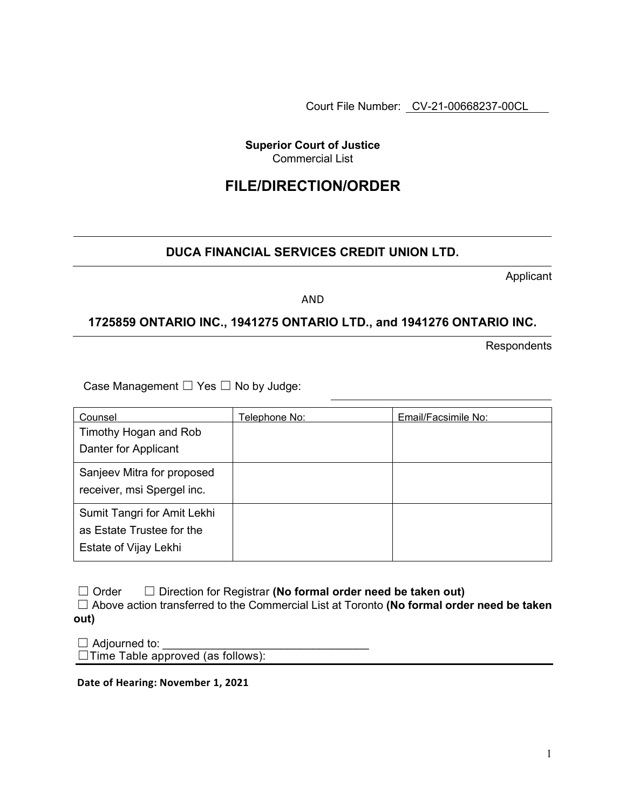Court File Number: CV-21-00668237-00CL

**Superior Court of Justice**  Commercial List

# **FILE/DIRECTION/ORDER**

## **DUCA FINANCIAL SERVICES CREDIT UNION LTD.**

Applicant

AND

### **1725859 ONTARIO INC., 1941275 ONTARIO LTD., and 1941276 ONTARIO INC.**

**Respondents** 

Case Management ☐ Yes ☐ No by Judge:

| Counsel                                                                           | <u> Telephone No:</u> | Email/Facsimile No: |
|-----------------------------------------------------------------------------------|-----------------------|---------------------|
| Timothy Hogan and Rob<br>Danter for Applicant                                     |                       |                     |
| Sanjeev Mitra for proposed<br>receiver, msi Spergel inc.                          |                       |                     |
| Sumit Tangri for Amit Lekhi<br>as Estate Trustee for the<br>Estate of Vijay Lekhi |                       |                     |

| $\Box$ Order | $\Box$ Direction for Registrar (No formal order need be taken out)                               |
|--------------|--------------------------------------------------------------------------------------------------|
|              | $\Box$ Above action transferred to the Commercial List at Toronto (No formal order need be taken |
| out)         |                                                                                                  |

 $\Box$  Adjourned to:

☐Time Table approved (as follows):

**Date of Hearing: November 1, 2021**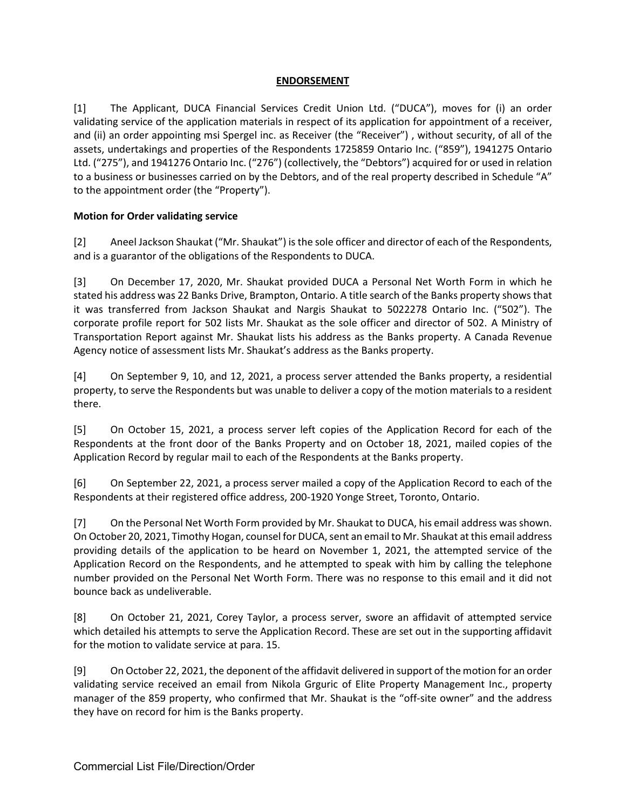#### **ENDORSEMENT**

[1] The Applicant, DUCA Financial Services Credit Union Ltd. ("DUCA"), moves for (i) an order validating service of the application materials in respect of its application for appointment of a receiver, and (ii) an order appointing msi Spergel inc. as Receiver (the "Receiver") , without security, of all of the assets, undertakings and properties of the Respondents 1725859 Ontario Inc. ("859"), 1941275 Ontario Ltd. ("275"), and 1941276 Ontario Inc. ("276") (collectively, the "Debtors") acquired for or used in relation to a business or businesses carried on by the Debtors, and of the real property described in Schedule "A" to the appointment order (the "Property").

#### **Motion for Order validating service**

[2] Aneel Jackson Shaukat ("Mr. Shaukat") is the sole officer and director of each of the Respondents, and is a guarantor of the obligations of the Respondents to DUCA.

[3] On December 17, 2020, Mr. Shaukat provided DUCA a Personal Net Worth Form in which he stated his address was 22 Banks Drive, Brampton, Ontario. A title search of the Banks property shows that it was transferred from Jackson Shaukat and Nargis Shaukat to 5022278 Ontario Inc. ("502"). The corporate profile report for 502 lists Mr. Shaukat as the sole officer and director of 502. A Ministry of Transportation Report against Mr. Shaukat lists his address as the Banks property. A Canada Revenue Agency notice of assessment lists Mr. Shaukat's address as the Banks property.

[4] On September 9, 10, and 12, 2021, a process server attended the Banks property, a residential property, to serve the Respondents but was unable to deliver a copy of the motion materials to a resident there.

[5] On October 15, 2021, a process server left copies of the Application Record for each of the Respondents at the front door of the Banks Property and on October 18, 2021, mailed copies of the Application Record by regular mail to each of the Respondents at the Banks property.

[6] On September 22, 2021, a process server mailed a copy of the Application Record to each of the Respondents at their registered office address, 200-1920 Yonge Street, Toronto, Ontario.

[7] On the Personal Net Worth Form provided by Mr. Shaukat to DUCA, his email address was shown. On October 20, 2021, Timothy Hogan, counsel for DUCA, sent an email to Mr. Shaukat at this email address providing details of the application to be heard on November 1, 2021, the attempted service of the Application Record on the Respondents, and he attempted to speak with him by calling the telephone number provided on the Personal Net Worth Form. There was no response to this email and it did not bounce back as undeliverable.

[8] On October 21, 2021, Corey Taylor, a process server, swore an affidavit of attempted service which detailed his attempts to serve the Application Record. These are set out in the supporting affidavit for the motion to validate service at para. 15.

[9] On October 22, 2021, the deponent of the affidavit delivered in support of the motion for an order validating service received an email from Nikola Grguric of Elite Property Management Inc., property manager of the 859 property, who confirmed that Mr. Shaukat is the "off-site owner" and the address they have on record for him is the Banks property.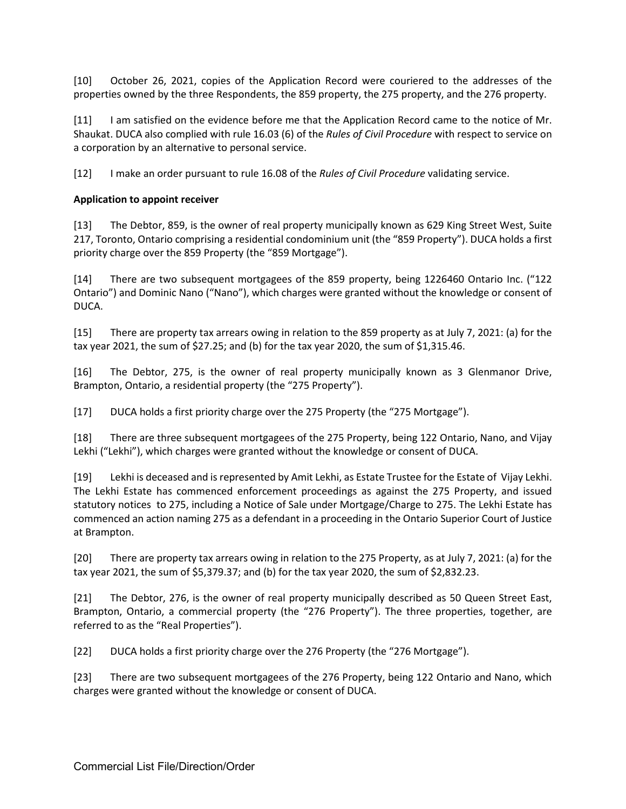[10] October 26, 2021, copies of the Application Record were couriered to the addresses of the properties owned by the three Respondents, the 859 property, the 275 property, and the 276 property.

[11] I am satisfied on the evidence before me that the Application Record came to the notice of Mr. Shaukat. DUCA also complied with rule 16.03 (6) of the *Rules of Civil Procedure* with respect to service on a corporation by an alternative to personal service.

[12] I make an order pursuant to rule 16.08 of the *Rules of Civil Procedure* validating service.

#### **Application to appoint receiver**

[13] The Debtor, 859, is the owner of real property municipally known as 629 King Street West, Suite 217, Toronto, Ontario comprising a residential condominium unit (the "859 Property"). DUCA holds a first priority charge over the 859 Property (the "859 Mortgage").

[14] There are two subsequent mortgagees of the 859 property, being 1226460 Ontario Inc. ("122 Ontario") and Dominic Nano ("Nano"), which charges were granted without the knowledge or consent of DUCA.

[15] There are property tax arrears owing in relation to the 859 property as at July 7, 2021: (a) for the tax year 2021, the sum of \$27.25; and (b) for the tax year 2020, the sum of \$1,315.46.

[16] The Debtor, 275, is the owner of real property municipally known as 3 Glenmanor Drive, Brampton, Ontario, a residential property (the "275 Property").

[17] DUCA holds a first priority charge over the 275 Property (the "275 Mortgage").

[18] There are three subsequent mortgagees of the 275 Property, being 122 Ontario, Nano, and Vijay Lekhi ("Lekhi"), which charges were granted without the knowledge or consent of DUCA.

[19] Lekhi is deceased and is represented by Amit Lekhi, as Estate Trustee for the Estate of Vijay Lekhi. The Lekhi Estate has commenced enforcement proceedings as against the 275 Property, and issued statutory notices to 275, including a Notice of Sale under Mortgage/Charge to 275. The Lekhi Estate has commenced an action naming 275 as a defendant in a proceeding in the Ontario Superior Court of Justice at Brampton.

[20] There are property tax arrears owing in relation to the 275 Property, as at July 7, 2021: (a) for the tax year 2021, the sum of \$5,379.37; and (b) for the tax year 2020, the sum of \$2,832.23.

[21] The Debtor, 276, is the owner of real property municipally described as 50 Queen Street East, Brampton, Ontario, a commercial property (the "276 Property"). The three properties, together, are referred to as the "Real Properties").

[22] DUCA holds a first priority charge over the 276 Property (the "276 Mortgage").

[23] There are two subsequent mortgagees of the 276 Property, being 122 Ontario and Nano, which charges were granted without the knowledge or consent of DUCA.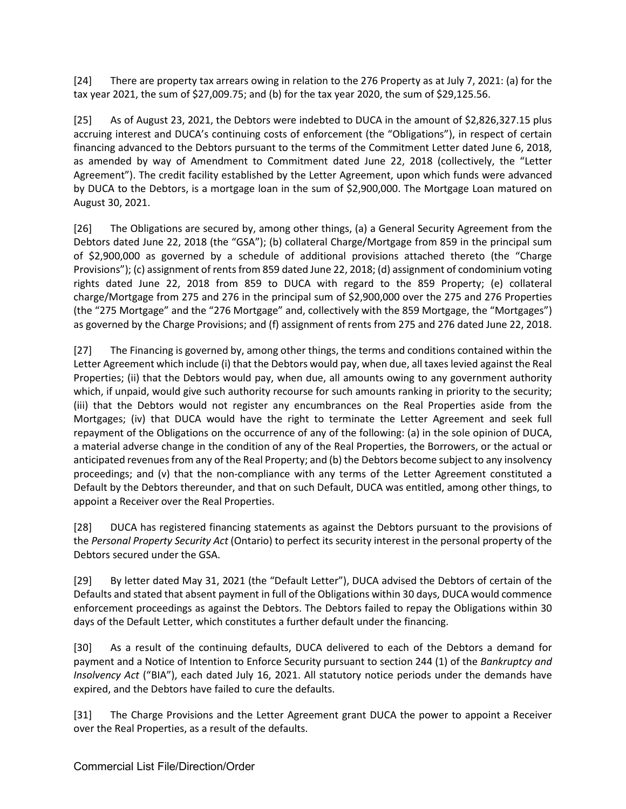[24] There are property tax arrears owing in relation to the 276 Property as at July 7, 2021: (a) for the tax year 2021, the sum of \$27,009.75; and (b) for the tax year 2020, the sum of \$29,125.56.

[25] As of August 23, 2021, the Debtors were indebted to DUCA in the amount of \$2,826,327.15 plus accruing interest and DUCA's continuing costs of enforcement (the "Obligations"), in respect of certain financing advanced to the Debtors pursuant to the terms of the Commitment Letter dated June 6, 2018, as amended by way of Amendment to Commitment dated June 22, 2018 (collectively, the "Letter Agreement"). The credit facility established by the Letter Agreement, upon which funds were advanced by DUCA to the Debtors, is a mortgage loan in the sum of \$2,900,000. The Mortgage Loan matured on August 30, 2021.

[26] The Obligations are secured by, among other things, (a) a General Security Agreement from the Debtors dated June 22, 2018 (the "GSA"); (b) collateral Charge/Mortgage from 859 in the principal sum of \$2,900,000 as governed by a schedule of additional provisions attached thereto (the "Charge Provisions"); (c) assignment of rents from 859 dated June 22, 2018; (d) assignment of condominium voting rights dated June 22, 2018 from 859 to DUCA with regard to the 859 Property; (e) collateral charge/Mortgage from 275 and 276 in the principal sum of \$2,900,000 over the 275 and 276 Properties (the "275 Mortgage" and the "276 Mortgage" and, collectively with the 859 Mortgage, the "Mortgages") as governed by the Charge Provisions; and (f) assignment of rents from 275 and 276 dated June 22, 2018.

[27] The Financing is governed by, among other things, the terms and conditions contained within the Letter Agreement which include (i) that the Debtors would pay, when due, all taxes levied against the Real Properties; (ii) that the Debtors would pay, when due, all amounts owing to any government authority which, if unpaid, would give such authority recourse for such amounts ranking in priority to the security; (iii) that the Debtors would not register any encumbrances on the Real Properties aside from the Mortgages; (iv) that DUCA would have the right to terminate the Letter Agreement and seek full repayment of the Obligations on the occurrence of any of the following: (a) in the sole opinion of DUCA, a material adverse change in the condition of any of the Real Properties, the Borrowers, or the actual or anticipated revenues from any of the Real Property; and (b) the Debtors become subject to any insolvency proceedings; and (v) that the non-compliance with any terms of the Letter Agreement constituted a Default by the Debtors thereunder, and that on such Default, DUCA was entitled, among other things, to appoint a Receiver over the Real Properties.

[28] DUCA has registered financing statements as against the Debtors pursuant to the provisions of the *Personal Property Security Act* (Ontario) to perfect its security interest in the personal property of the Debtors secured under the GSA.

[29] By letter dated May 31, 2021 (the "Default Letter"), DUCA advised the Debtors of certain of the Defaults and stated that absent payment in full of the Obligations within 30 days, DUCA would commence enforcement proceedings as against the Debtors. The Debtors failed to repay the Obligations within 30 days of the Default Letter, which constitutes a further default under the financing.

[30] As a result of the continuing defaults, DUCA delivered to each of the Debtors a demand for payment and a Notice of Intention to Enforce Security pursuant to section 244 (1) of the *Bankruptcy and Insolvency Act* ("BIA"), each dated July 16, 2021. All statutory notice periods under the demands have expired, and the Debtors have failed to cure the defaults.

[31] The Charge Provisions and the Letter Agreement grant DUCA the power to appoint a Receiver over the Real Properties, as a result of the defaults.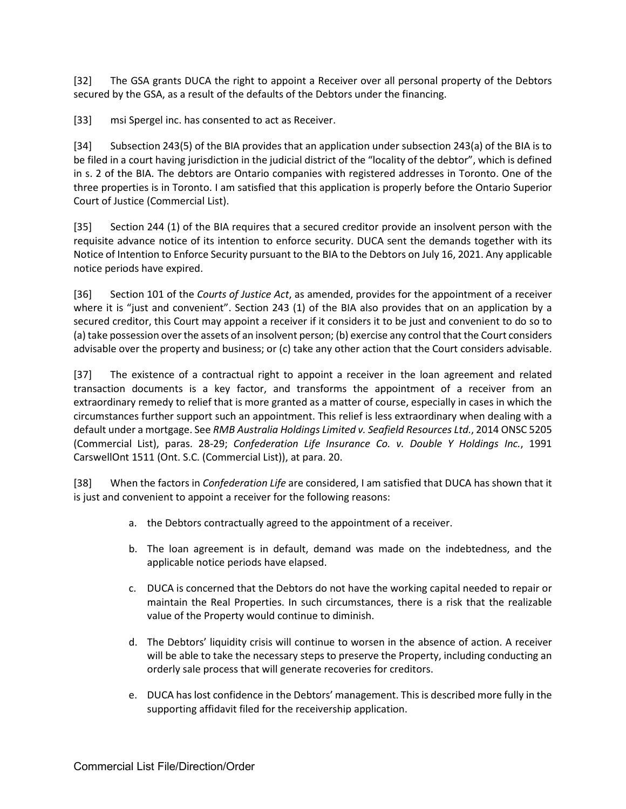[32] The GSA grants DUCA the right to appoint a Receiver over all personal property of the Debtors secured by the GSA, as a result of the defaults of the Debtors under the financing.

[33] msi Spergel inc. has consented to act as Receiver.

[34] Subsection 243(5) of the BIA provides that an application under subsection 243(a) of the BIA is to be filed in a court having jurisdiction in the judicial district of the "locality of the debtor", which is defined in s. 2 of the BIA. The debtors are Ontario companies with registered addresses in Toronto. One of the three properties is in Toronto. I am satisfied that this application is properly before the Ontario Superior Court of Justice (Commercial List).

[35] Section 244 (1) of the BIA requires that a secured creditor provide an insolvent person with the requisite advance notice of its intention to enforce security. DUCA sent the demands together with its Notice of Intention to Enforce Security pursuant to the BIA to the Debtors on July 16, 2021. Any applicable notice periods have expired.

[36] Section 101 of the *Courts of Justice Act*, as amended, provides for the appointment of a receiver where it is "just and convenient". Section 243 (1) of the BIA also provides that on an application by a secured creditor, this Court may appoint a receiver if it considers it to be just and convenient to do so to (a) take possession over the assets of an insolvent person; (b) exercise any control that the Court considers advisable over the property and business; or (c) take any other action that the Court considers advisable.

[37] The existence of a contractual right to appoint a receiver in the loan agreement and related transaction documents is a key factor, and transforms the appointment of a receiver from an extraordinary remedy to relief that is more granted as a matter of course, especially in cases in which the circumstances further support such an appointment. This relief is less extraordinary when dealing with a default under a mortgage. See *RMB Australia Holdings Limited v. Seafield Resources Ltd.*, 2014 ONSC 5205 (Commercial List), paras. 28-29; *Confederation Life Insurance Co. v. Double Y Holdings Inc.*, 1991 CarswellOnt 1511 (Ont. S.C. (Commercial List)), at para. 20.

[38] When the factors in *Confederation Life* are considered, I am satisfied that DUCA has shown that it is just and convenient to appoint a receiver for the following reasons:

- a. the Debtors contractually agreed to the appointment of a receiver.
- b. The loan agreement is in default, demand was made on the indebtedness, and the applicable notice periods have elapsed.
- c. DUCA is concerned that the Debtors do not have the working capital needed to repair or maintain the Real Properties. In such circumstances, there is a risk that the realizable value of the Property would continue to diminish.
- d. The Debtors' liquidity crisis will continue to worsen in the absence of action. A receiver will be able to take the necessary steps to preserve the Property, including conducting an orderly sale process that will generate recoveries for creditors.
- e. DUCA has lost confidence in the Debtors' management. This is described more fully in the supporting affidavit filed for the receivership application.